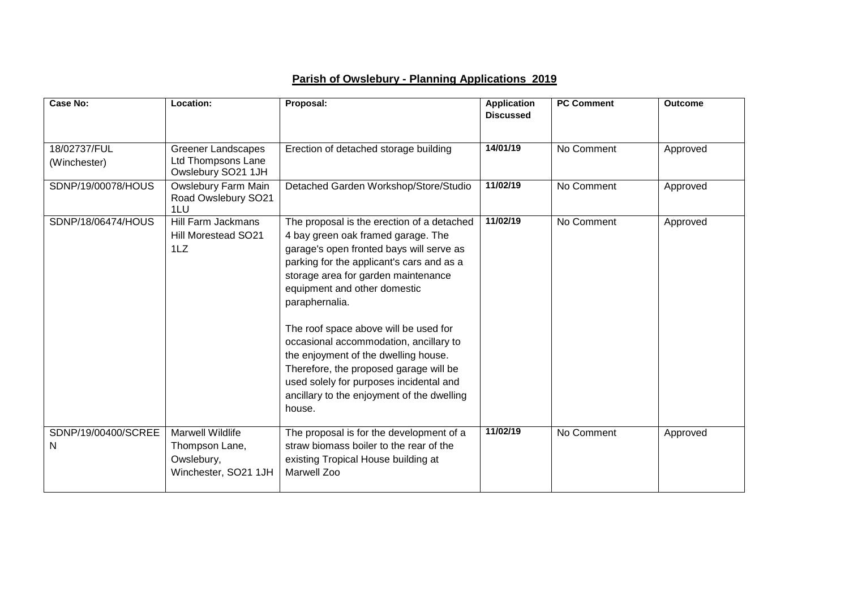## **Parish of Owslebury - Planning Applications 2019**

| Case No:                     | Location:                                                                       | Proposal:                                                                                                                                                                                                                                                                                                                                                                                                                                                                                                                                  | <b>Application</b><br><b>Discussed</b> | <b>PC Comment</b> | <b>Outcome</b> |
|------------------------------|---------------------------------------------------------------------------------|--------------------------------------------------------------------------------------------------------------------------------------------------------------------------------------------------------------------------------------------------------------------------------------------------------------------------------------------------------------------------------------------------------------------------------------------------------------------------------------------------------------------------------------------|----------------------------------------|-------------------|----------------|
|                              |                                                                                 |                                                                                                                                                                                                                                                                                                                                                                                                                                                                                                                                            |                                        |                   |                |
| 18/02737/FUL<br>(Winchester) | <b>Greener Landscapes</b><br>Ltd Thompsons Lane<br>Owslebury SO21 1JH           | Erection of detached storage building                                                                                                                                                                                                                                                                                                                                                                                                                                                                                                      | 14/01/19                               | No Comment        | Approved       |
| SDNP/19/00078/HOUS           | Owslebury Farm Main<br>Road Owslebury SO21<br>1LU                               | Detached Garden Workshop/Store/Studio                                                                                                                                                                                                                                                                                                                                                                                                                                                                                                      | 11/02/19                               | No Comment        | Approved       |
| SDNP/18/06474/HOUS           | <b>Hill Farm Jackmans</b><br>Hill Morestead SO21<br>1LZ                         | The proposal is the erection of a detached<br>4 bay green oak framed garage. The<br>garage's open fronted bays will serve as<br>parking for the applicant's cars and as a<br>storage area for garden maintenance<br>equipment and other domestic<br>paraphernalia.<br>The roof space above will be used for<br>occasional accommodation, ancillary to<br>the enjoyment of the dwelling house.<br>Therefore, the proposed garage will be<br>used solely for purposes incidental and<br>ancillary to the enjoyment of the dwelling<br>house. | 11/02/19                               | No Comment        | Approved       |
| SDNP/19/00400/SCREE<br>N     | <b>Marwell Wildlife</b><br>Thompson Lane,<br>Owslebury,<br>Winchester, SO21 1JH | The proposal is for the development of a<br>straw biomass boiler to the rear of the<br>existing Tropical House building at<br><b>Marwell Zoo</b>                                                                                                                                                                                                                                                                                                                                                                                           | 11/02/19                               | No Comment        | Approved       |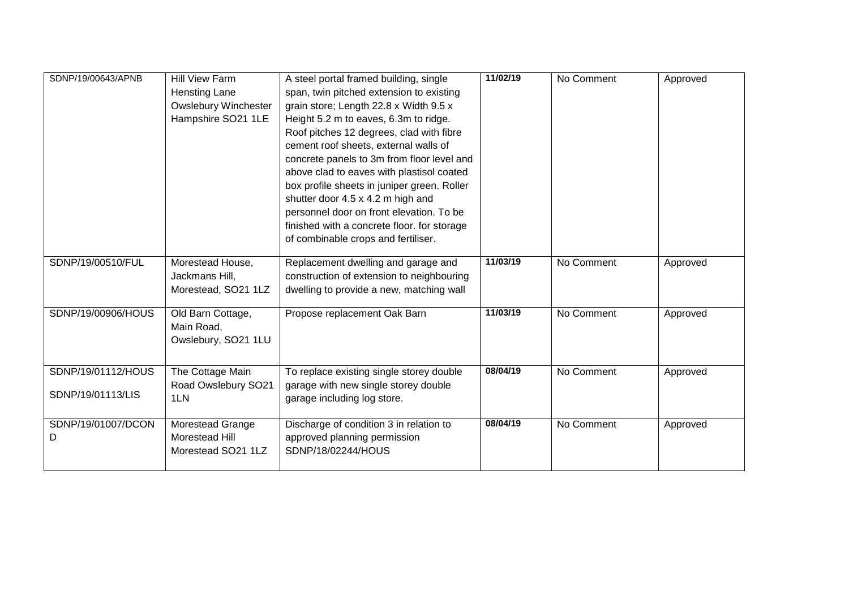| SDNP/19/00643/APNB                      | <b>Hill View Farm</b><br>Hensting Lane<br><b>Owslebury Winchester</b><br>Hampshire SO21 1LE | A steel portal framed building, single<br>span, twin pitched extension to existing<br>grain store; Length 22.8 x Width 9.5 x<br>Height 5.2 m to eaves, 6.3m to ridge.<br>Roof pitches 12 degrees, clad with fibre<br>cement roof sheets, external walls of<br>concrete panels to 3m from floor level and<br>above clad to eaves with plastisol coated<br>box profile sheets in juniper green. Roller<br>shutter door 4.5 x 4.2 m high and<br>personnel door on front elevation. To be | 11/02/19 | No Comment | Approved |
|-----------------------------------------|---------------------------------------------------------------------------------------------|---------------------------------------------------------------------------------------------------------------------------------------------------------------------------------------------------------------------------------------------------------------------------------------------------------------------------------------------------------------------------------------------------------------------------------------------------------------------------------------|----------|------------|----------|
|                                         |                                                                                             | finished with a concrete floor. for storage<br>of combinable crops and fertiliser.                                                                                                                                                                                                                                                                                                                                                                                                    |          |            |          |
| SDNP/19/00510/FUL                       | Morestead House,<br>Jackmans Hill,<br>Morestead, SO21 1LZ                                   | Replacement dwelling and garage and<br>construction of extension to neighbouring<br>dwelling to provide a new, matching wall                                                                                                                                                                                                                                                                                                                                                          | 11/03/19 | No Comment | Approved |
| SDNP/19/00906/HOUS                      | Old Barn Cottage,<br>Main Road,<br>Owslebury, SO21 1LU                                      | Propose replacement Oak Barn                                                                                                                                                                                                                                                                                                                                                                                                                                                          | 11/03/19 | No Comment | Approved |
| SDNP/19/01112/HOUS<br>SDNP/19/01113/LIS | The Cottage Main<br>Road Owslebury SO21<br>1LN                                              | To replace existing single storey double<br>garage with new single storey double<br>garage including log store.                                                                                                                                                                                                                                                                                                                                                                       | 08/04/19 | No Comment | Approved |
| SDNP/19/01007/DCON<br>D                 | Morestead Grange<br>Morestead Hill<br>Morestead SO21 1LZ                                    | Discharge of condition 3 in relation to<br>approved planning permission<br>SDNP/18/02244/HOUS                                                                                                                                                                                                                                                                                                                                                                                         | 08/04/19 | No Comment | Approved |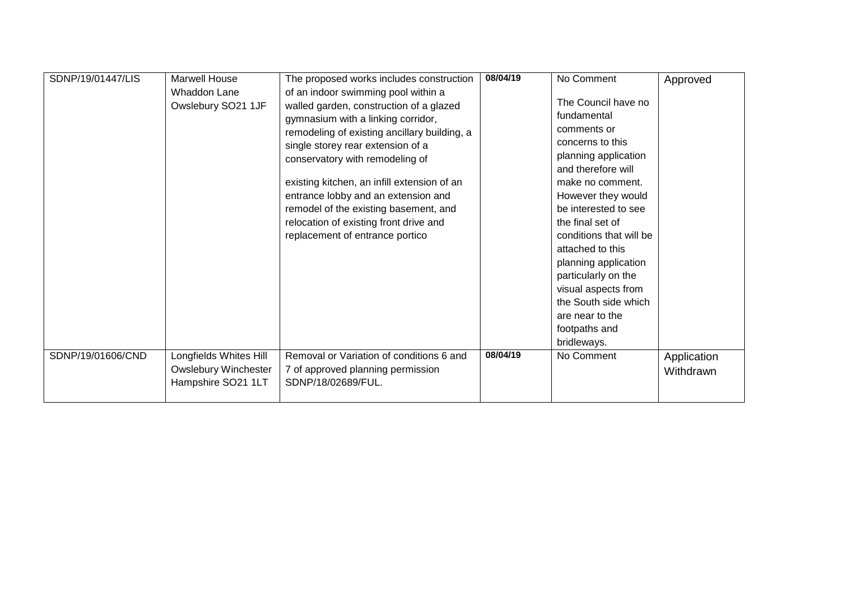| SDNP/19/01447/LIS | <b>Marwell House</b>        | The proposed works includes construction     | 08/04/19 | No Comment              | Approved    |
|-------------------|-----------------------------|----------------------------------------------|----------|-------------------------|-------------|
|                   | Whaddon Lane                | of an indoor swimming pool within a          |          |                         |             |
|                   | Owslebury SO21 1JF          | walled garden, construction of a glazed      |          | The Council have no     |             |
|                   |                             | gymnasium with a linking corridor,           |          | fundamental             |             |
|                   |                             | remodeling of existing ancillary building, a |          | comments or             |             |
|                   |                             | single storey rear extension of a            |          | concerns to this        |             |
|                   |                             | conservatory with remodeling of              |          | planning application    |             |
|                   |                             |                                              |          | and therefore will      |             |
|                   |                             | existing kitchen, an infill extension of an  |          | make no comment.        |             |
|                   |                             | entrance lobby and an extension and          |          | However they would      |             |
|                   |                             | remodel of the existing basement, and        |          | be interested to see    |             |
|                   |                             | relocation of existing front drive and       |          | the final set of        |             |
|                   |                             | replacement of entrance portico              |          | conditions that will be |             |
|                   |                             |                                              |          | attached to this        |             |
|                   |                             |                                              |          | planning application    |             |
|                   |                             |                                              |          | particularly on the     |             |
|                   |                             |                                              |          | visual aspects from     |             |
|                   |                             |                                              |          | the South side which    |             |
|                   |                             |                                              |          | are near to the         |             |
|                   |                             |                                              |          | footpaths and           |             |
|                   |                             |                                              |          | bridleways.             |             |
| SDNP/19/01606/CND | Longfields Whites Hill      | Removal or Variation of conditions 6 and     | 08/04/19 | No Comment              | Application |
|                   | <b>Owslebury Winchester</b> | 7 of approved planning permission            |          |                         | Withdrawn   |
|                   | Hampshire SO21 1LT          | SDNP/18/02689/FUL.                           |          |                         |             |
|                   |                             |                                              |          |                         |             |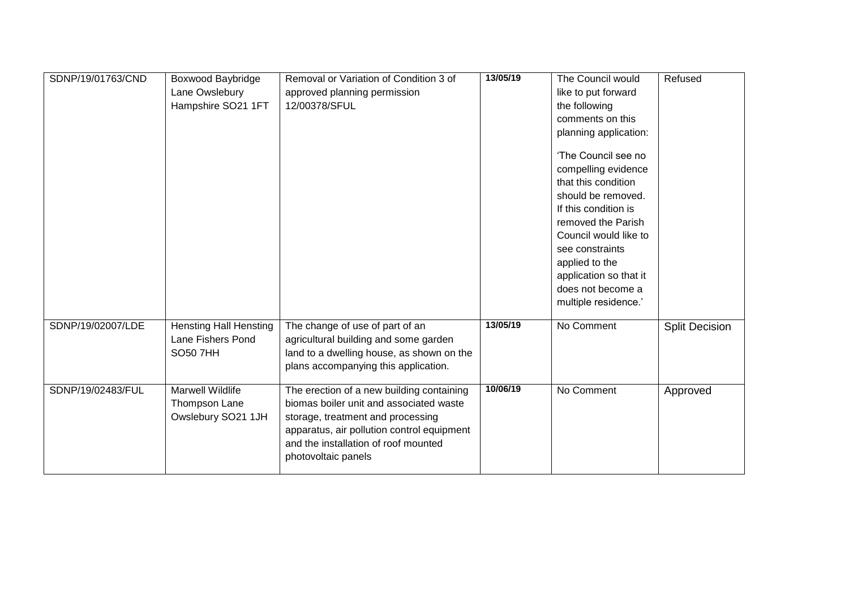| SDNP/19/01763/CND | <b>Boxwood Baybridge</b><br>Lane Owslebury<br>Hampshire SO21 1FT      | Removal or Variation of Condition 3 of<br>approved planning permission<br>12/00378/SFUL                                                                                                                                                | 13/05/19 | The Council would<br>like to put forward<br>the following<br>comments on this<br>planning application:<br>'The Council see no<br>compelling evidence<br>that this condition<br>should be removed.<br>If this condition is<br>removed the Parish<br>Council would like to<br>see constraints<br>applied to the<br>application so that it<br>does not become a<br>multiple residence.' | Refused               |
|-------------------|-----------------------------------------------------------------------|----------------------------------------------------------------------------------------------------------------------------------------------------------------------------------------------------------------------------------------|----------|--------------------------------------------------------------------------------------------------------------------------------------------------------------------------------------------------------------------------------------------------------------------------------------------------------------------------------------------------------------------------------------|-----------------------|
| SDNP/19/02007/LDE | <b>Hensting Hall Hensting</b><br>Lane Fishers Pond<br><b>SO50 7HH</b> | The change of use of part of an<br>agricultural building and some garden<br>land to a dwelling house, as shown on the<br>plans accompanying this application.                                                                          | 13/05/19 | No Comment                                                                                                                                                                                                                                                                                                                                                                           | <b>Split Decision</b> |
| SDNP/19/02483/FUL | Marwell Wildlife<br>Thompson Lane<br>Owslebury SO21 1JH               | The erection of a new building containing<br>biomas boiler unit and associated waste<br>storage, treatment and processing<br>apparatus, air pollution control equipment<br>and the installation of roof mounted<br>photovoltaic panels | 10/06/19 | No Comment                                                                                                                                                                                                                                                                                                                                                                           | Approved              |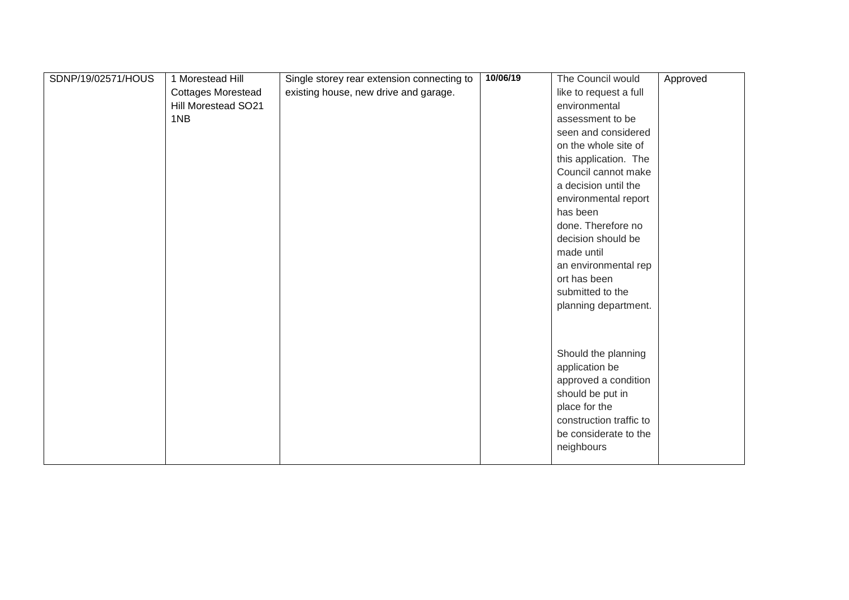| SDNP/19/02571/HOUS | 1 Morestead Hill          | Single storey rear extension connecting to | 10/06/19 | The Council would       | Approved |
|--------------------|---------------------------|--------------------------------------------|----------|-------------------------|----------|
|                    | <b>Cottages Morestead</b> | existing house, new drive and garage.      |          | like to request a full  |          |
|                    | Hill Morestead SO21       |                                            |          | environmental           |          |
|                    | 1NB                       |                                            |          | assessment to be        |          |
|                    |                           |                                            |          | seen and considered     |          |
|                    |                           |                                            |          | on the whole site of    |          |
|                    |                           |                                            |          | this application. The   |          |
|                    |                           |                                            |          | Council cannot make     |          |
|                    |                           |                                            |          | a decision until the    |          |
|                    |                           |                                            |          | environmental report    |          |
|                    |                           |                                            |          | has been                |          |
|                    |                           |                                            |          | done. Therefore no      |          |
|                    |                           |                                            |          | decision should be      |          |
|                    |                           |                                            |          | made until              |          |
|                    |                           |                                            |          | an environmental rep    |          |
|                    |                           |                                            |          | ort has been            |          |
|                    |                           |                                            |          | submitted to the        |          |
|                    |                           |                                            |          | planning department.    |          |
|                    |                           |                                            |          |                         |          |
|                    |                           |                                            |          |                         |          |
|                    |                           |                                            |          |                         |          |
|                    |                           |                                            |          | Should the planning     |          |
|                    |                           |                                            |          | application be          |          |
|                    |                           |                                            |          | approved a condition    |          |
|                    |                           |                                            |          | should be put in        |          |
|                    |                           |                                            |          | place for the           |          |
|                    |                           |                                            |          | construction traffic to |          |
|                    |                           |                                            |          | be considerate to the   |          |
|                    |                           |                                            |          | neighbours              |          |
|                    |                           |                                            |          |                         |          |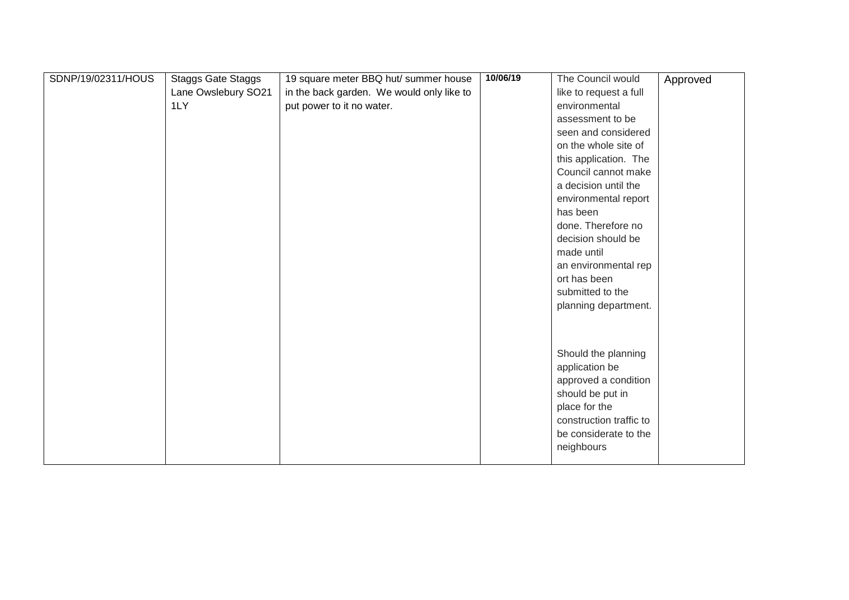| SDNP/19/02311/HOUS | <b>Staggs Gate Staggs</b> | 19 square meter BBQ hut/ summer house     | 10/06/19 | The Council would                      | Approved |
|--------------------|---------------------------|-------------------------------------------|----------|----------------------------------------|----------|
|                    | Lane Owslebury SO21       | in the back garden. We would only like to |          | like to request a full                 |          |
|                    | 1LY                       | put power to it no water.                 |          | environmental                          |          |
|                    |                           |                                           |          | assessment to be                       |          |
|                    |                           |                                           |          | seen and considered                    |          |
|                    |                           |                                           |          | on the whole site of                   |          |
|                    |                           |                                           |          | this application. The                  |          |
|                    |                           |                                           |          | Council cannot make                    |          |
|                    |                           |                                           |          | a decision until the                   |          |
|                    |                           |                                           |          | environmental report                   |          |
|                    |                           |                                           |          | has been                               |          |
|                    |                           |                                           |          | done. Therefore no                     |          |
|                    |                           |                                           |          | decision should be                     |          |
|                    |                           |                                           |          | made until                             |          |
|                    |                           |                                           |          | an environmental rep                   |          |
|                    |                           |                                           |          | ort has been                           |          |
|                    |                           |                                           |          | submitted to the                       |          |
|                    |                           |                                           |          | planning department.                   |          |
|                    |                           |                                           |          |                                        |          |
|                    |                           |                                           |          |                                        |          |
|                    |                           |                                           |          |                                        |          |
|                    |                           |                                           |          | Should the planning                    |          |
|                    |                           |                                           |          | application be<br>approved a condition |          |
|                    |                           |                                           |          | should be put in                       |          |
|                    |                           |                                           |          | place for the                          |          |
|                    |                           |                                           |          | construction traffic to                |          |
|                    |                           |                                           |          | be considerate to the                  |          |
|                    |                           |                                           |          |                                        |          |
|                    |                           |                                           |          | neighbours                             |          |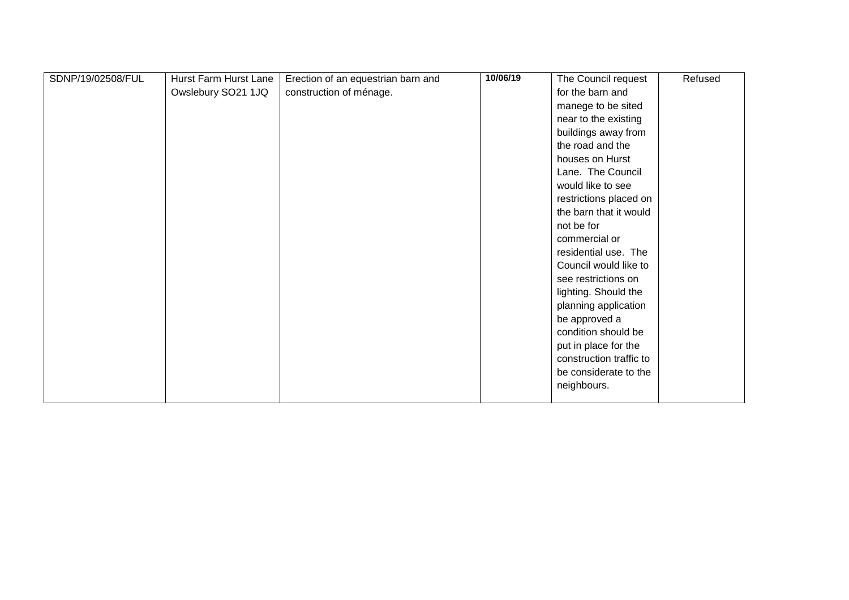| SDNP/19/02508/FUL | Hurst Farm Hurst Lane | Erection of an equestrian barn and | 10/06/19 | The Council request     | Refused |
|-------------------|-----------------------|------------------------------------|----------|-------------------------|---------|
|                   | Owslebury SO21 1JQ    | construction of ménage.            |          | for the barn and        |         |
|                   |                       |                                    |          | manege to be sited      |         |
|                   |                       |                                    |          | near to the existing    |         |
|                   |                       |                                    |          | buildings away from     |         |
|                   |                       |                                    |          | the road and the        |         |
|                   |                       |                                    |          | houses on Hurst         |         |
|                   |                       |                                    |          | Lane. The Council       |         |
|                   |                       |                                    |          | would like to see       |         |
|                   |                       |                                    |          | restrictions placed on  |         |
|                   |                       |                                    |          | the barn that it would  |         |
|                   |                       |                                    |          | not be for              |         |
|                   |                       |                                    |          | commercial or           |         |
|                   |                       |                                    |          | residential use. The    |         |
|                   |                       |                                    |          | Council would like to   |         |
|                   |                       |                                    |          | see restrictions on     |         |
|                   |                       |                                    |          | lighting. Should the    |         |
|                   |                       |                                    |          | planning application    |         |
|                   |                       |                                    |          | be approved a           |         |
|                   |                       |                                    |          | condition should be     |         |
|                   |                       |                                    |          | put in place for the    |         |
|                   |                       |                                    |          | construction traffic to |         |
|                   |                       |                                    |          | be considerate to the   |         |
|                   |                       |                                    |          | neighbours.             |         |
|                   |                       |                                    |          |                         |         |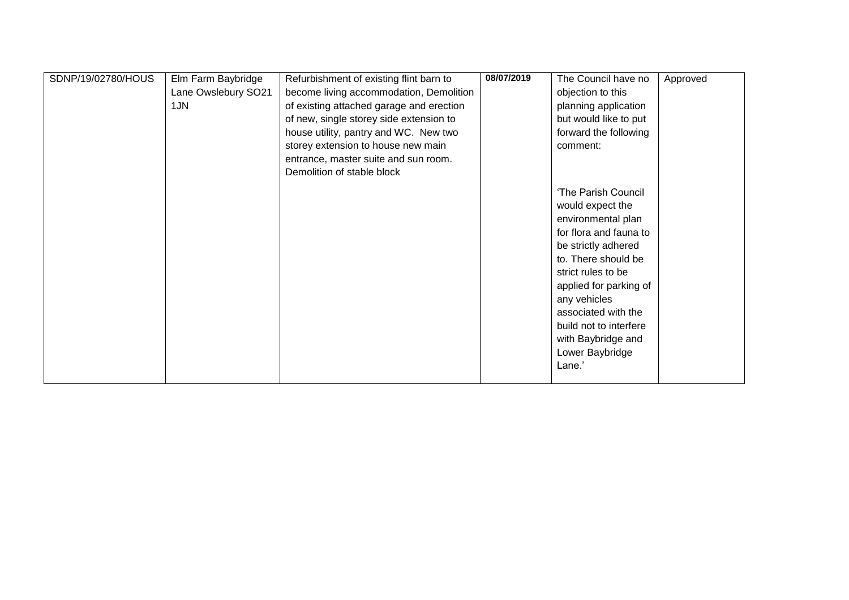| SDNP/19/02780/HOUS | Elm Farm Baybridge  | Refurbishment of existing flint barn to  | 08/07/2019 | The Council have no    | Approved |
|--------------------|---------------------|------------------------------------------|------------|------------------------|----------|
|                    | Lane Owslebury SO21 | become living accommodation, Demolition  |            | objection to this      |          |
|                    | 1JN                 | of existing attached garage and erection |            | planning application   |          |
|                    |                     | of new, single storey side extension to  |            | but would like to put  |          |
|                    |                     | house utility, pantry and WC. New two    |            | forward the following  |          |
|                    |                     | storey extension to house new main       |            | comment:               |          |
|                    |                     | entrance, master suite and sun room.     |            |                        |          |
|                    |                     | Demolition of stable block               |            |                        |          |
|                    |                     |                                          |            |                        |          |
|                    |                     |                                          |            | 'The Parish Council    |          |
|                    |                     |                                          |            | would expect the       |          |
|                    |                     |                                          |            | environmental plan     |          |
|                    |                     |                                          |            | for flora and fauna to |          |
|                    |                     |                                          |            | be strictly adhered    |          |
|                    |                     |                                          |            | to. There should be    |          |
|                    |                     |                                          |            | strict rules to be     |          |
|                    |                     |                                          |            | applied for parking of |          |
|                    |                     |                                          |            | any vehicles           |          |
|                    |                     |                                          |            | associated with the    |          |
|                    |                     |                                          |            | build not to interfere |          |
|                    |                     |                                          |            | with Baybridge and     |          |
|                    |                     |                                          |            | Lower Baybridge        |          |
|                    |                     |                                          |            | Lane.'                 |          |
|                    |                     |                                          |            |                        |          |
|                    |                     |                                          |            |                        |          |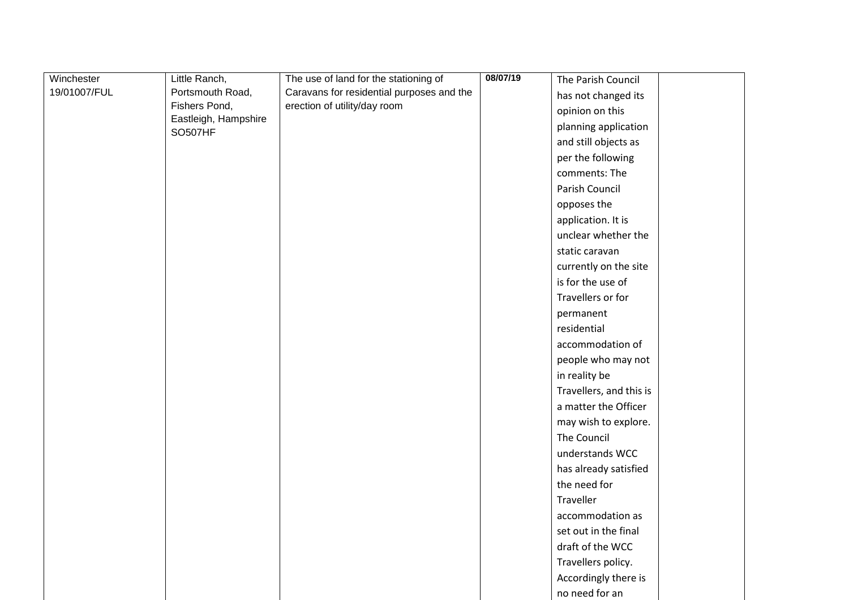| Winchester   | Little Ranch,                          | The use of land for the stationing of     | 08/07/19 | The Parish Council      |
|--------------|----------------------------------------|-------------------------------------------|----------|-------------------------|
| 19/01007/FUL | Portsmouth Road,                       | Caravans for residential purposes and the |          | has not changed its     |
|              | Fishers Pond,                          | erection of utility/day room              |          | opinion on this         |
|              | Eastleigh, Hampshire<br><b>SO507HF</b> |                                           |          | planning application    |
|              |                                        |                                           |          | and still objects as    |
|              |                                        |                                           |          | per the following       |
|              |                                        |                                           |          | comments: The           |
|              |                                        |                                           |          | Parish Council          |
|              |                                        |                                           |          | opposes the             |
|              |                                        |                                           |          | application. It is      |
|              |                                        |                                           |          | unclear whether the     |
|              |                                        |                                           |          | static caravan          |
|              |                                        |                                           |          | currently on the site   |
|              |                                        |                                           |          | is for the use of       |
|              |                                        |                                           |          | Travellers or for       |
|              |                                        |                                           |          | permanent               |
|              |                                        |                                           |          | residential             |
|              |                                        |                                           |          | accommodation of        |
|              |                                        |                                           |          | people who may not      |
|              |                                        |                                           |          | in reality be           |
|              |                                        |                                           |          | Travellers, and this is |
|              |                                        |                                           |          | a matter the Officer    |
|              |                                        |                                           |          | may wish to explore.    |
|              |                                        |                                           |          | The Council             |
|              |                                        |                                           |          | understands WCC         |
|              |                                        |                                           |          | has already satisfied   |
|              |                                        |                                           |          | the need for            |
|              |                                        |                                           |          | Traveller               |
|              |                                        |                                           |          | accommodation as        |
|              |                                        |                                           |          | set out in the final    |
|              |                                        |                                           |          | draft of the WCC        |
|              |                                        |                                           |          | Travellers policy.      |
|              |                                        |                                           |          | Accordingly there is    |
|              |                                        |                                           |          | no need for an          |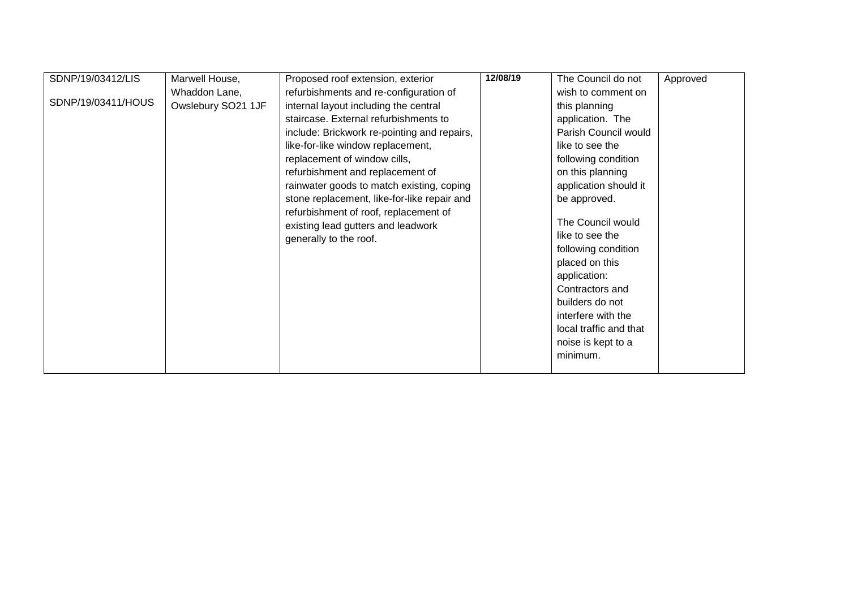| SDNP/19/03412/LIS  | Marwell House,     | Proposed roof extension, exterior           | 12/08/19 | The Council do not     | Approved |
|--------------------|--------------------|---------------------------------------------|----------|------------------------|----------|
|                    | Whaddon Lane,      | refurbishments and re-configuration of      |          | wish to comment on     |          |
| SDNP/19/03411/HOUS | Owslebury SO21 1JF | internal layout including the central       |          | this planning          |          |
|                    |                    | staircase. External refurbishments to       |          | application. The       |          |
|                    |                    | include: Brickwork re-pointing and repairs, |          | Parish Council would   |          |
|                    |                    | like-for-like window replacement,           |          | like to see the        |          |
|                    |                    | replacement of window cills,                |          | following condition    |          |
|                    |                    | refurbishment and replacement of            |          | on this planning       |          |
|                    |                    | rainwater goods to match existing, coping   |          |                        |          |
|                    |                    |                                             |          | application should it  |          |
|                    |                    | stone replacement, like-for-like repair and |          | be approved.           |          |
|                    |                    | refurbishment of roof, replacement of       |          | The Council would      |          |
|                    |                    | existing lead gutters and leadwork          |          | like to see the        |          |
|                    |                    | generally to the roof.                      |          | following condition    |          |
|                    |                    |                                             |          |                        |          |
|                    |                    |                                             |          | placed on this         |          |
|                    |                    |                                             |          | application:           |          |
|                    |                    |                                             |          | Contractors and        |          |
|                    |                    |                                             |          | builders do not        |          |
|                    |                    |                                             |          | interfere with the     |          |
|                    |                    |                                             |          | local traffic and that |          |
|                    |                    |                                             |          | noise is kept to a     |          |
|                    |                    |                                             |          | minimum.               |          |
|                    |                    |                                             |          |                        |          |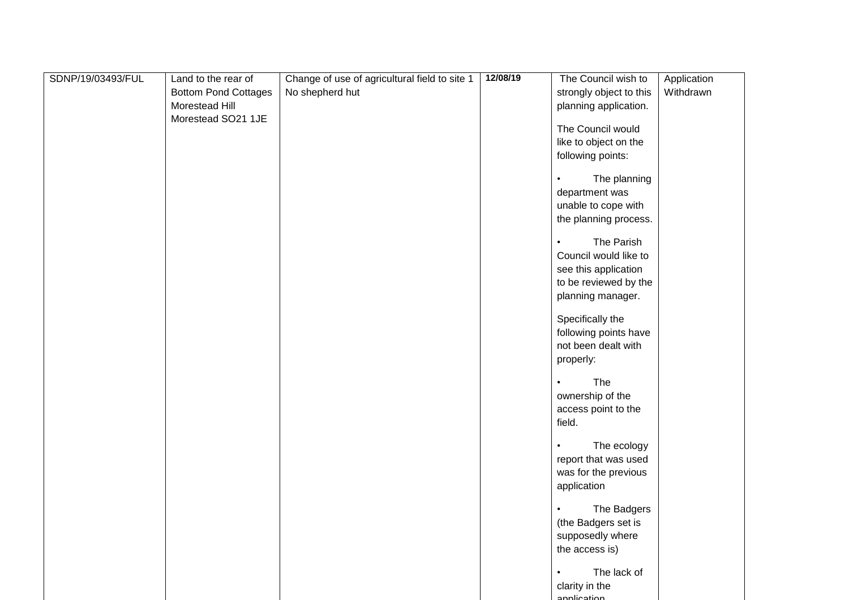| SDNP/19/03493/FUL | Land to the rear of         | Change of use of agricultural field to site 1 | 12/08/19 | The Council wish to       | Application |
|-------------------|-----------------------------|-----------------------------------------------|----------|---------------------------|-------------|
|                   | <b>Bottom Pond Cottages</b> | No shepherd hut                               |          | strongly object to this   | Withdrawn   |
|                   | Morestead Hill              |                                               |          | planning application.     |             |
|                   | Morestead SO21 1JE          |                                               |          |                           |             |
|                   |                             |                                               |          | The Council would         |             |
|                   |                             |                                               |          | like to object on the     |             |
|                   |                             |                                               |          | following points:         |             |
|                   |                             |                                               |          |                           |             |
|                   |                             |                                               |          | The planning<br>$\bullet$ |             |
|                   |                             |                                               |          | department was            |             |
|                   |                             |                                               |          | unable to cope with       |             |
|                   |                             |                                               |          | the planning process.     |             |
|                   |                             |                                               |          | The Parish<br>$\bullet$   |             |
|                   |                             |                                               |          | Council would like to     |             |
|                   |                             |                                               |          | see this application      |             |
|                   |                             |                                               |          | to be reviewed by the     |             |
|                   |                             |                                               |          | planning manager.         |             |
|                   |                             |                                               |          |                           |             |
|                   |                             |                                               |          | Specifically the          |             |
|                   |                             |                                               |          | following points have     |             |
|                   |                             |                                               |          | not been dealt with       |             |
|                   |                             |                                               |          | properly:                 |             |
|                   |                             |                                               |          |                           |             |
|                   |                             |                                               |          | The<br>$\bullet$          |             |
|                   |                             |                                               |          | ownership of the          |             |
|                   |                             |                                               |          | access point to the       |             |
|                   |                             |                                               |          | field.                    |             |
|                   |                             |                                               |          |                           |             |
|                   |                             |                                               |          | The ecology<br>$\bullet$  |             |
|                   |                             |                                               |          | report that was used      |             |
|                   |                             |                                               |          | was for the previous      |             |
|                   |                             |                                               |          | application               |             |
|                   |                             |                                               |          | The Badgers               |             |
|                   |                             |                                               |          | (the Badgers set is       |             |
|                   |                             |                                               |          | supposedly where          |             |
|                   |                             |                                               |          | the access is)            |             |
|                   |                             |                                               |          |                           |             |
|                   |                             |                                               |          | The lack of<br>$\bullet$  |             |
|                   |                             |                                               |          | clarity in the            |             |
|                   |                             |                                               |          | annlication               |             |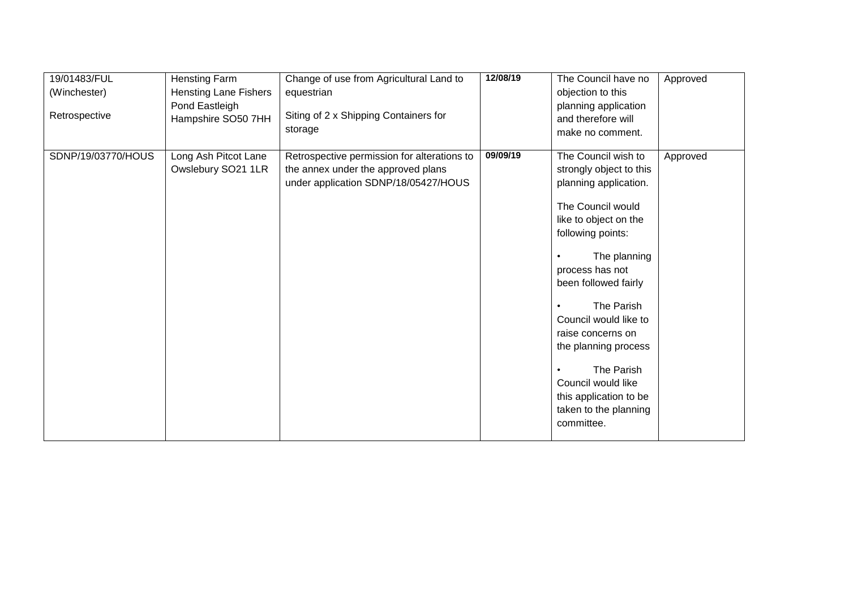| 19/01483/FUL       | Hensting Farm                | Change of use from Agricultural Land to     | 12/08/19 | The Council have no             | Approved |
|--------------------|------------------------------|---------------------------------------------|----------|---------------------------------|----------|
| (Winchester)       | <b>Hensting Lane Fishers</b> | equestrian                                  |          | objection to this               |          |
|                    | Pond Eastleigh               |                                             |          | planning application            |          |
| Retrospective      | Hampshire SO50 7HH           | Siting of 2 x Shipping Containers for       |          | and therefore will              |          |
|                    |                              | storage                                     |          | make no comment.                |          |
|                    |                              |                                             |          |                                 |          |
| SDNP/19/03770/HOUS | Long Ash Pitcot Lane         | Retrospective permission for alterations to | 09/09/19 | The Council wish to             | Approved |
|                    | Owslebury SO21 1LR           | the annex under the approved plans          |          | strongly object to this         |          |
|                    |                              | under application SDNP/18/05427/HOUS        |          | planning application.           |          |
|                    |                              |                                             |          |                                 |          |
|                    |                              |                                             |          | The Council would               |          |
|                    |                              |                                             |          | like to object on the           |          |
|                    |                              |                                             |          | following points:               |          |
|                    |                              |                                             |          |                                 |          |
|                    |                              |                                             |          | The planning<br>process has not |          |
|                    |                              |                                             |          | been followed fairly            |          |
|                    |                              |                                             |          |                                 |          |
|                    |                              |                                             |          | The Parish                      |          |
|                    |                              |                                             |          | Council would like to           |          |
|                    |                              |                                             |          | raise concerns on               |          |
|                    |                              |                                             |          | the planning process            |          |
|                    |                              |                                             |          |                                 |          |
|                    |                              |                                             |          | The Parish                      |          |
|                    |                              |                                             |          | Council would like              |          |
|                    |                              |                                             |          | this application to be          |          |
|                    |                              |                                             |          | taken to the planning           |          |
|                    |                              |                                             |          | committee.                      |          |
|                    |                              |                                             |          |                                 |          |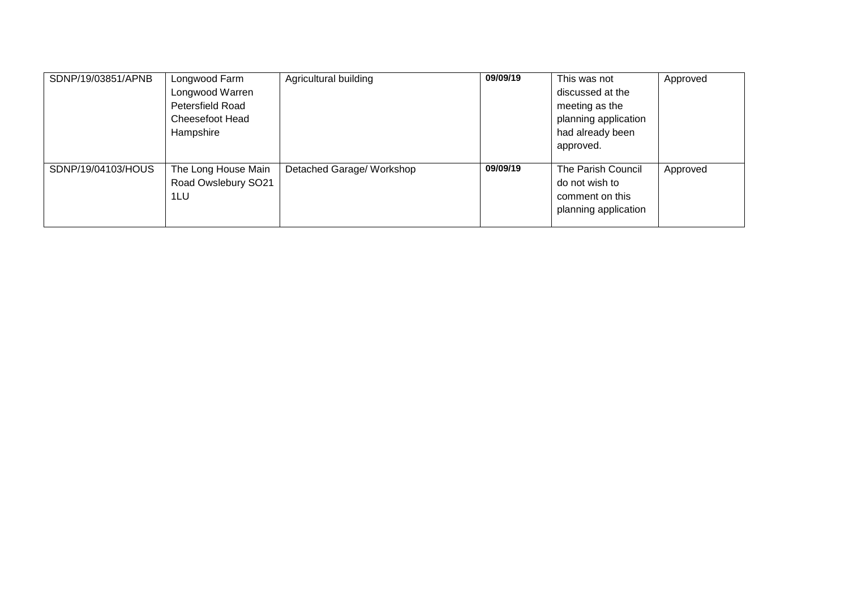| SDNP/19/03851/APNB | Longwood Farm       | Agricultural building     | 09/09/19 | This was not         | Approved |
|--------------------|---------------------|---------------------------|----------|----------------------|----------|
|                    | Longwood Warren     |                           |          | discussed at the     |          |
|                    | Petersfield Road    |                           |          | meeting as the       |          |
|                    | Cheesefoot Head     |                           |          | planning application |          |
|                    | Hampshire           |                           |          | had already been     |          |
|                    |                     |                           |          | approved.            |          |
|                    |                     |                           |          |                      |          |
| SDNP/19/04103/HOUS | The Long House Main | Detached Garage/ Workshop | 09/09/19 | The Parish Council   | Approved |
|                    | Road Owslebury SO21 |                           |          | do not wish to       |          |
|                    | 1LU                 |                           |          | comment on this      |          |
|                    |                     |                           |          | planning application |          |
|                    |                     |                           |          |                      |          |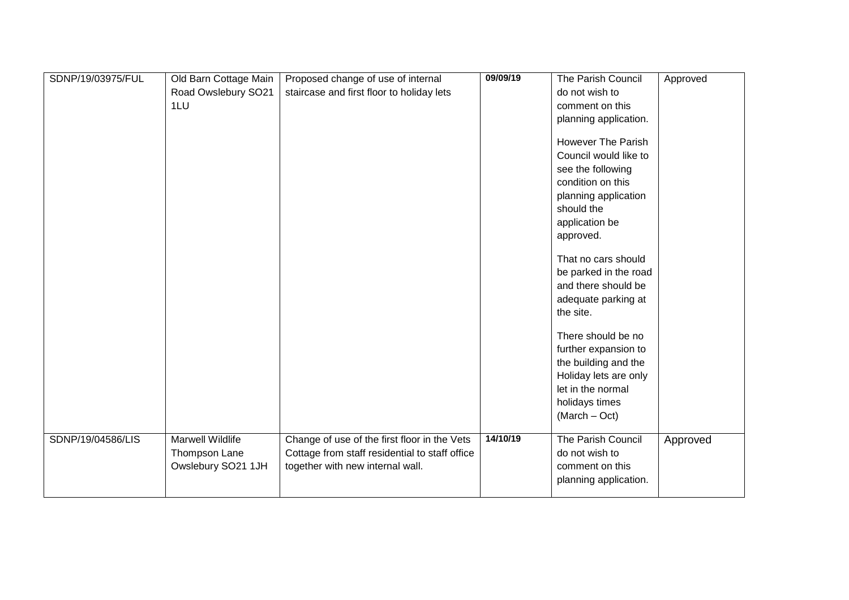| SDNP/19/03975/FUL | Old Barn Cottage Main | Proposed change of use of internal             | 09/09/19 | The Parish Council    | Approved |
|-------------------|-----------------------|------------------------------------------------|----------|-----------------------|----------|
|                   | Road Owslebury SO21   | staircase and first floor to holiday lets      |          | do not wish to        |          |
|                   | 1LU                   |                                                |          | comment on this       |          |
|                   |                       |                                                |          | planning application. |          |
|                   |                       |                                                |          |                       |          |
|                   |                       |                                                |          | However The Parish    |          |
|                   |                       |                                                |          | Council would like to |          |
|                   |                       |                                                |          | see the following     |          |
|                   |                       |                                                |          | condition on this     |          |
|                   |                       |                                                |          | planning application  |          |
|                   |                       |                                                |          | should the            |          |
|                   |                       |                                                |          | application be        |          |
|                   |                       |                                                |          | approved.             |          |
|                   |                       |                                                |          |                       |          |
|                   |                       |                                                |          | That no cars should   |          |
|                   |                       |                                                |          | be parked in the road |          |
|                   |                       |                                                |          | and there should be   |          |
|                   |                       |                                                |          | adequate parking at   |          |
|                   |                       |                                                |          | the site.             |          |
|                   |                       |                                                |          | There should be no    |          |
|                   |                       |                                                |          | further expansion to  |          |
|                   |                       |                                                |          | the building and the  |          |
|                   |                       |                                                |          | Holiday lets are only |          |
|                   |                       |                                                |          | let in the normal     |          |
|                   |                       |                                                |          | holidays times        |          |
|                   |                       |                                                |          | $(March - Oct)$       |          |
|                   |                       |                                                |          |                       |          |
| SDNP/19/04586/LIS | Marwell Wildlife      | Change of use of the first floor in the Vets   | 14/10/19 | The Parish Council    | Approved |
|                   | Thompson Lane         | Cottage from staff residential to staff office |          | do not wish to        |          |
|                   | Owslebury SO21 1JH    | together with new internal wall.               |          | comment on this       |          |
|                   |                       |                                                |          | planning application. |          |
|                   |                       |                                                |          |                       |          |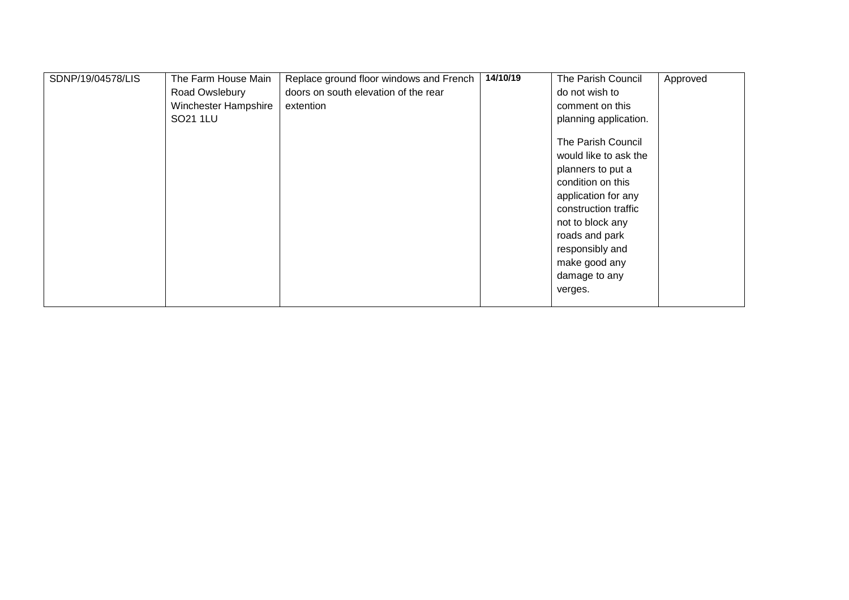| SDNP/19/04578/LIS | The Farm House Main  | Replace ground floor windows and French | 14/10/19 | The Parish Council    | Approved |
|-------------------|----------------------|-----------------------------------------|----------|-----------------------|----------|
|                   | Road Owslebury       | doors on south elevation of the rear    |          | do not wish to        |          |
|                   | Winchester Hampshire | extention                               |          | comment on this       |          |
|                   | SO21 1LU             |                                         |          | planning application. |          |
|                   |                      |                                         |          | The Parish Council    |          |
|                   |                      |                                         |          | would like to ask the |          |
|                   |                      |                                         |          | planners to put a     |          |
|                   |                      |                                         |          | condition on this     |          |
|                   |                      |                                         |          | application for any   |          |
|                   |                      |                                         |          | construction traffic  |          |
|                   |                      |                                         |          | not to block any      |          |
|                   |                      |                                         |          | roads and park        |          |
|                   |                      |                                         |          | responsibly and       |          |
|                   |                      |                                         |          | make good any         |          |
|                   |                      |                                         |          | damage to any         |          |
|                   |                      |                                         |          | verges.               |          |
|                   |                      |                                         |          |                       |          |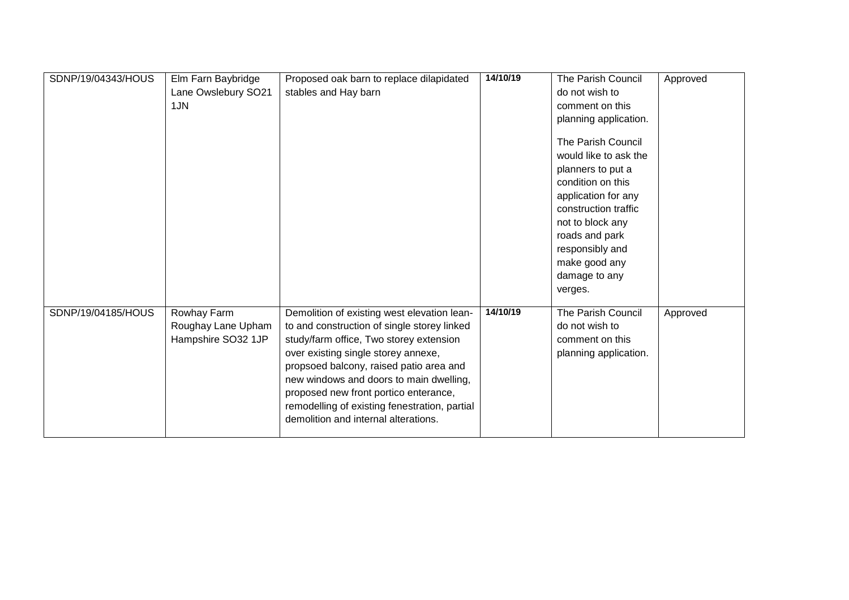| SDNP/19/04343/HOUS | Elm Farn Baybridge<br>Lane Owslebury SO21<br>1JN        | Proposed oak barn to replace dilapidated<br>stables and Hay barn                                                                                                                                                                                                                                                                                                                                     | 14/10/19 | The Parish Council<br>do not wish to<br>comment on this<br>planning application.<br>The Parish Council<br>would like to ask the<br>planners to put a<br>condition on this<br>application for any<br>construction traffic | Approved |
|--------------------|---------------------------------------------------------|------------------------------------------------------------------------------------------------------------------------------------------------------------------------------------------------------------------------------------------------------------------------------------------------------------------------------------------------------------------------------------------------------|----------|--------------------------------------------------------------------------------------------------------------------------------------------------------------------------------------------------------------------------|----------|
|                    |                                                         |                                                                                                                                                                                                                                                                                                                                                                                                      |          | roads and park<br>responsibly and<br>make good any<br>damage to any<br>verges.                                                                                                                                           |          |
| SDNP/19/04185/HOUS | Rowhay Farm<br>Roughay Lane Upham<br>Hampshire SO32 1JP | Demolition of existing west elevation lean-<br>to and construction of single storey linked<br>study/farm office, Two storey extension<br>over existing single storey annexe,<br>propsoed balcony, raised patio area and<br>new windows and doors to main dwelling,<br>proposed new front portico enterance,<br>remodelling of existing fenestration, partial<br>demolition and internal alterations. | 14/10/19 | The Parish Council<br>do not wish to<br>comment on this<br>planning application.                                                                                                                                         | Approved |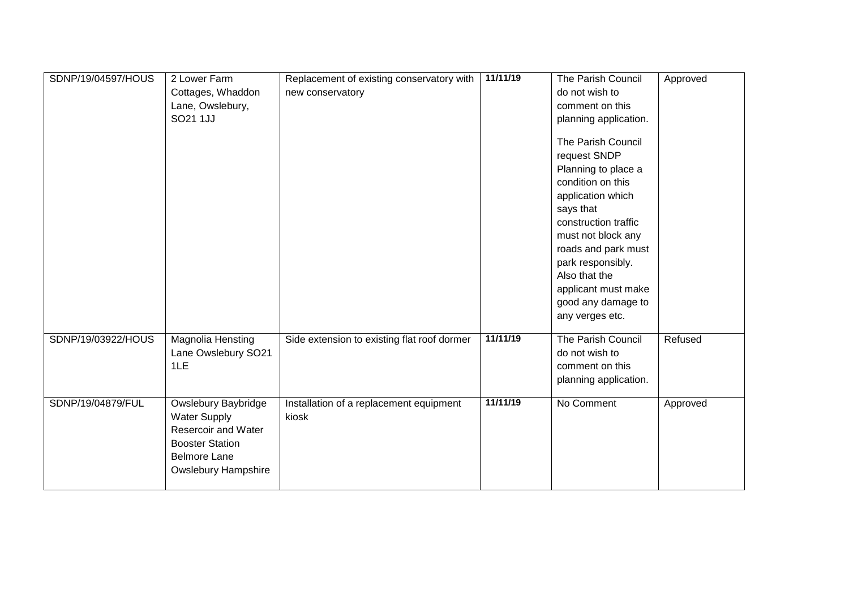| SDNP/19/04597/HOUS | 2 Lower Farm<br>Cottages, Whaddon<br>Lane, Owslebury,<br>SO21 1JJ                                                                                | Replacement of existing conservatory with<br>new conservatory | 11/11/19 | The Parish Council<br>do not wish to<br>comment on this<br>planning application.<br>The Parish Council<br>request SNDP<br>Planning to place a<br>condition on this<br>application which<br>says that<br>construction traffic<br>must not block any<br>roads and park must<br>park responsibly.<br>Also that the<br>applicant must make<br>good any damage to<br>any verges etc. | Approved |
|--------------------|--------------------------------------------------------------------------------------------------------------------------------------------------|---------------------------------------------------------------|----------|---------------------------------------------------------------------------------------------------------------------------------------------------------------------------------------------------------------------------------------------------------------------------------------------------------------------------------------------------------------------------------|----------|
| SDNP/19/03922/HOUS | Magnolia Hensting<br>Lane Owslebury SO21<br>1LE                                                                                                  | Side extension to existing flat roof dormer                   | 11/11/19 | The Parish Council<br>do not wish to<br>comment on this<br>planning application.                                                                                                                                                                                                                                                                                                | Refused  |
| SDNP/19/04879/FUL  | Owslebury Baybridge<br><b>Water Supply</b><br>Resercoir and Water<br><b>Booster Station</b><br><b>Belmore Lane</b><br><b>Owslebury Hampshire</b> | Installation of a replacement equipment<br>kiosk              | 11/11/19 | No Comment                                                                                                                                                                                                                                                                                                                                                                      | Approved |